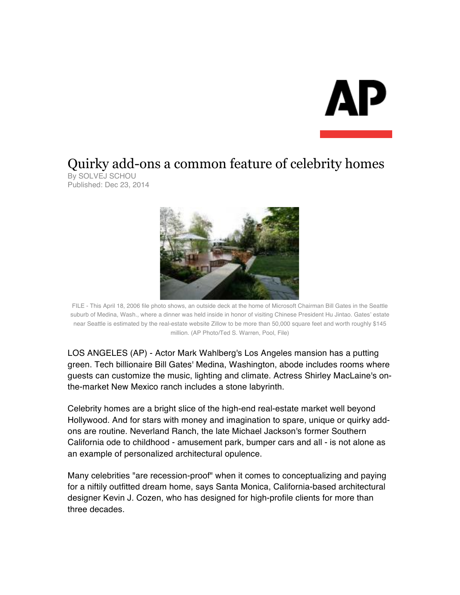## Quirky add-ons a common feature of celebrity homes

By SOLVEJ SCHOU Published: Dec 23, 2014



FILE - This April 18, 2006 file photo shows, an outside deck at the home of Microsoft Chairman Bill Gates in the Seattle suburb of Medina, Wash., where a dinner was held inside in honor of visiting Chinese President Hu Jintao. Gates' estate near Seattle is estimated by the real-estate website Zillow to be more than 50,000 square feet and worth roughly \$145 million. (AP Photo/Ted S. Warren, Pool, File)

LOS ANGELES (AP) - Actor Mark Wahlberg's Los Angeles mansion has a putting green. Tech billionaire Bill Gates' Medina, Washington, abode includes rooms where guests can customize the music, lighting and climate. Actress Shirley MacLaine's onthe-market New Mexico ranch includes a stone labyrinth.

Celebrity homes are a bright slice of the high-end real-estate market well beyond Hollywood. And for stars with money and imagination to spare, unique or quirky addons are routine. Neverland Ranch, the late Michael Jackson's former Southern California ode to childhood - amusement park, bumper cars and all - is not alone as an example of personalized architectural opulence.

Many celebrities "are recession-proof" when it comes to conceptualizing and paying for a niftily outfitted dream home, says Santa Monica, California-based architectural designer Kevin J. Cozen, who has designed for high-profile clients for more than three decades.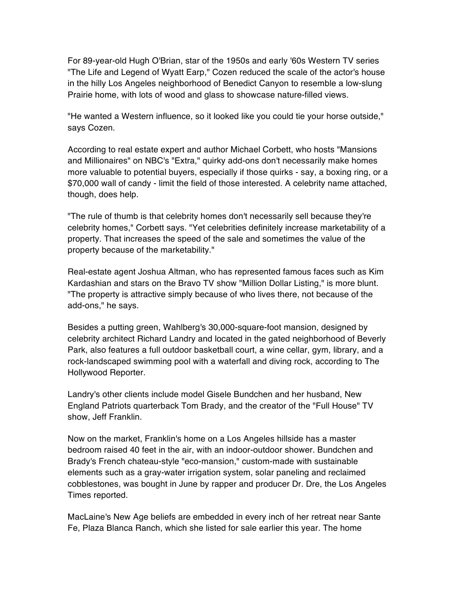For 89-year-old Hugh O'Brian, star of the 1950s and early '60s Western TV series "The Life and Legend of Wyatt Earp," Cozen reduced the scale of the actor's house in the hilly Los Angeles neighborhood of Benedict Canyon to resemble a low-slung Prairie home, with lots of wood and glass to showcase nature-filled views.

"He wanted a Western influence, so it looked like you could tie your horse outside," says Cozen.

According to real estate expert and author Michael Corbett, who hosts "Mansions and Millionaires" on NBC's "Extra," quirky add-ons don't necessarily make homes more valuable to potential buyers, especially if those quirks - say, a boxing ring, or a \$70,000 wall of candy - limit the field of those interested. A celebrity name attached, though, does help.

"The rule of thumb is that celebrity homes don't necessarily sell because they're celebrity homes," Corbett says. "Yet celebrities definitely increase marketability of a property. That increases the speed of the sale and sometimes the value of the property because of the marketability."

Real-estate agent Joshua Altman, who has represented famous faces such as Kim Kardashian and stars on the Bravo TV show "Million Dollar Listing," is more blunt. "The property is attractive simply because of who lives there, not because of the add-ons," he says.

Besides a putting green, Wahlberg's 30,000-square-foot mansion, designed by celebrity architect Richard Landry and located in the gated neighborhood of Beverly Park, also features a full outdoor basketball court, a wine cellar, gym, library, and a rock-landscaped swimming pool with a waterfall and diving rock, according to The Hollywood Reporter.

Landry's other clients include model Gisele Bundchen and her husband, New England Patriots quarterback Tom Brady, and the creator of the "Full House" TV show, Jeff Franklin.

Now on the market, Franklin's home on a Los Angeles hillside has a master bedroom raised 40 feet in the air, with an indoor-outdoor shower. Bundchen and Brady's French chateau-style "eco-mansion," custom-made with sustainable elements such as a gray-water irrigation system, solar paneling and reclaimed cobblestones, was bought in June by rapper and producer Dr. Dre, the Los Angeles Times reported.

MacLaine's New Age beliefs are embedded in every inch of her retreat near Sante Fe, Plaza Blanca Ranch, which she listed for sale earlier this year. The home